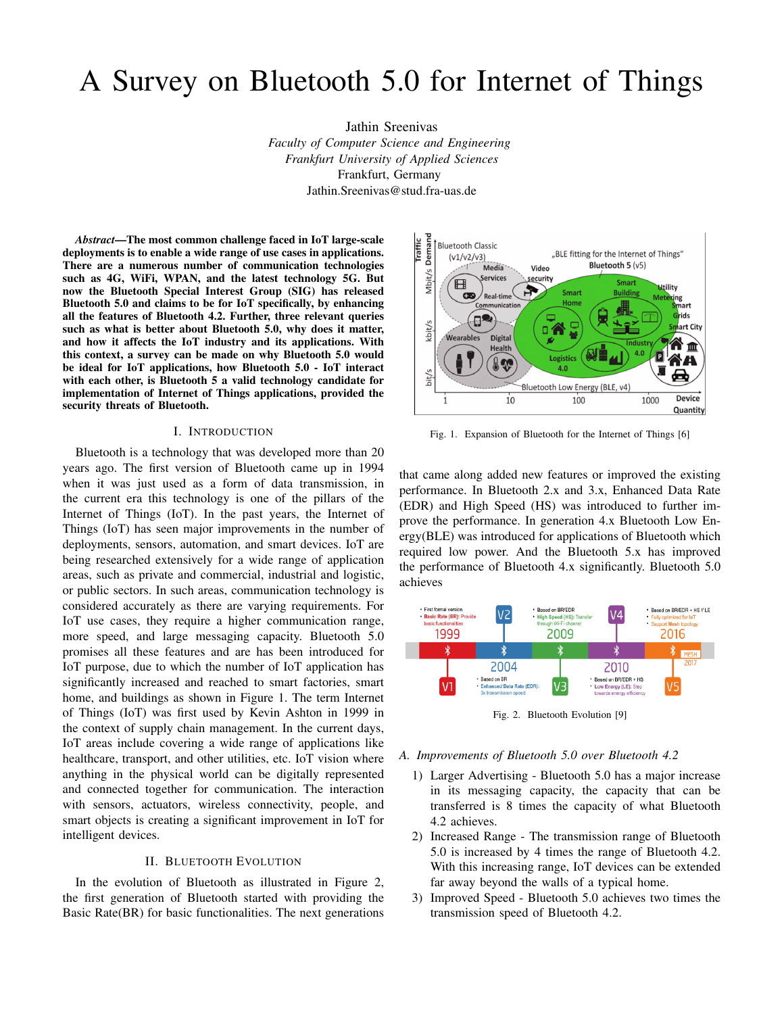# A Survey on Bluetooth 5.0 for Internet of Things

Jathin Sreenivas *Faculty of Computer Science and Engineering Frankfurt University of Applied Sciences* Frankfurt, Germany Jathin.Sreenivas@stud.fra-uas.de

*Abstract*—The most common challenge faced in IoT large-scale deployments is to enable a wide range of use cases in applications. There are a numerous number of communication technologies such as 4G, WiFi, WPAN, and the latest technology 5G. But now the Bluetooth Special Interest Group (SIG) has released Bluetooth 5.0 and claims to be for IoT specifically, by enhancing all the features of Bluetooth 4.2. Further, three relevant queries such as what is better about Bluetooth 5.0, why does it matter, and how it affects the IoT industry and its applications. With this context, a survey can be made on why Bluetooth 5.0 would be ideal for IoT applications, how Bluetooth 5.0 - IoT interact with each other, is Bluetooth 5 a valid technology candidate for implementation of Internet of Things applications, provided the security threats of Bluetooth.

#### I. INTRODUCTION

Bluetooth is a technology that was developed more than 20 years ago. The first version of Bluetooth came up in 1994 when it was just used as a form of data transmission, in the current era this technology is one of the pillars of the Internet of Things (IoT). In the past years, the Internet of Things (IoT) has seen major improvements in the number of deployments, sensors, automation, and smart devices. IoT are being researched extensively for a wide range of application areas, such as private and commercial, industrial and logistic, or public sectors. In such areas, communication technology is considered accurately as there are varying requirements. For IoT use cases, they require a higher communication range, more speed, and large messaging capacity. Bluetooth 5.0 promises all these features and are has been introduced for IoT purpose, due to which the number of IoT application has significantly increased and reached to smart factories, smart home, and buildings as shown in Figure 1. The term Internet of Things (IoT) was first used by Kevin Ashton in 1999 in the context of supply chain management. In the current days, IoT areas include covering a wide range of applications like healthcare, transport, and other utilities, etc. IoT vision where anything in the physical world can be digitally represented and connected together for communication. The interaction with sensors, actuators, wireless connectivity, people, and smart objects is creating a significant improvement in IoT for intelligent devices.

#### II. BLUETOOTH EVOLUTION

In the evolution of Bluetooth as illustrated in Figure 2, the first generation of Bluetooth started with providing the Basic Rate(BR) for basic functionalities. The next generations



Fig. 1. Expansion of Bluetooth for the Internet of Things [6]

that came along added new features or improved the existing performance. In Bluetooth 2.x and 3.x, Enhanced Data Rate (EDR) and High Speed (HS) was introduced to further improve the performance. In generation 4.x Bluetooth Low Energy(BLE) was introduced for applications of Bluetooth which required low power. And the Bluetooth 5.x has improved the performance of Bluetooth 4.x significantly. Bluetooth 5.0 achieves



Fig. 2. Bluetooth Evolution [9]

#### *A. Improvements of Bluetooth 5.0 over Bluetooth 4.2*

- 1) Larger Advertising Bluetooth 5.0 has a major increase in its messaging capacity, the capacity that can be transferred is 8 times the capacity of what Bluetooth 4.2 achieves.
- 2) Increased Range The transmission range of Bluetooth 5.0 is increased by 4 times the range of Bluetooth 4.2. With this increasing range, IoT devices can be extended far away beyond the walls of a typical home.
- 3) Improved Speed Bluetooth 5.0 achieves two times the transmission speed of Bluetooth 4.2.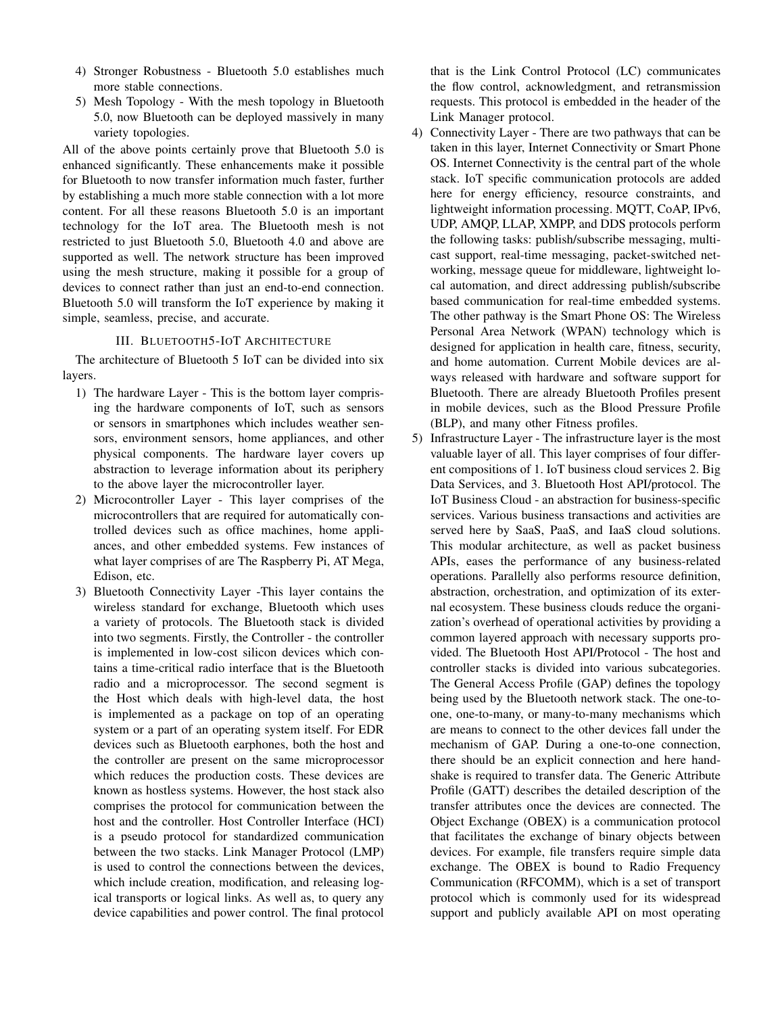- 4) Stronger Robustness Bluetooth 5.0 establishes much more stable connections.
- 5) Mesh Topology With the mesh topology in Bluetooth 5.0, now Bluetooth can be deployed massively in many variety topologies.

All of the above points certainly prove that Bluetooth 5.0 is enhanced significantly. These enhancements make it possible for Bluetooth to now transfer information much faster, further by establishing a much more stable connection with a lot more content. For all these reasons Bluetooth 5.0 is an important technology for the IoT area. The Bluetooth mesh is not restricted to just Bluetooth 5.0, Bluetooth 4.0 and above are supported as well. The network structure has been improved using the mesh structure, making it possible for a group of devices to connect rather than just an end-to-end connection. Bluetooth 5.0 will transform the IoT experience by making it simple, seamless, precise, and accurate.

## III. BLUETOOTH5-IOT ARCHITECTURE

The architecture of Bluetooth 5 IoT can be divided into six layers.

- 1) The hardware Layer This is the bottom layer comprising the hardware components of IoT, such as sensors or sensors in smartphones which includes weather sensors, environment sensors, home appliances, and other physical components. The hardware layer covers up abstraction to leverage information about its periphery to the above layer the microcontroller layer.
- 2) Microcontroller Layer This layer comprises of the microcontrollers that are required for automatically controlled devices such as office machines, home appliances, and other embedded systems. Few instances of what layer comprises of are The Raspberry Pi, AT Mega, Edison, etc.
- 3) Bluetooth Connectivity Layer -This layer contains the wireless standard for exchange, Bluetooth which uses a variety of protocols. The Bluetooth stack is divided into two segments. Firstly, the Controller - the controller is implemented in low-cost silicon devices which contains a time-critical radio interface that is the Bluetooth radio and a microprocessor. The second segment is the Host which deals with high-level data, the host is implemented as a package on top of an operating system or a part of an operating system itself. For EDR devices such as Bluetooth earphones, both the host and the controller are present on the same microprocessor which reduces the production costs. These devices are known as hostless systems. However, the host stack also comprises the protocol for communication between the host and the controller. Host Controller Interface (HCI) is a pseudo protocol for standardized communication between the two stacks. Link Manager Protocol (LMP) is used to control the connections between the devices, which include creation, modification, and releasing logical transports or logical links. As well as, to query any device capabilities and power control. The final protocol

that is the Link Control Protocol (LC) communicates the flow control, acknowledgment, and retransmission requests. This protocol is embedded in the header of the Link Manager protocol.

- 4) Connectivity Layer There are two pathways that can be taken in this layer, Internet Connectivity or Smart Phone OS. Internet Connectivity is the central part of the whole stack. IoT specific communication protocols are added here for energy efficiency, resource constraints, and lightweight information processing. MQTT, CoAP, IPv6, UDP, AMQP, LLAP, XMPP, and DDS protocols perform the following tasks: publish/subscribe messaging, multicast support, real-time messaging, packet-switched networking, message queue for middleware, lightweight local automation, and direct addressing publish/subscribe based communication for real-time embedded systems. The other pathway is the Smart Phone OS: The Wireless Personal Area Network (WPAN) technology which is designed for application in health care, fitness, security, and home automation. Current Mobile devices are always released with hardware and software support for Bluetooth. There are already Bluetooth Profiles present in mobile devices, such as the Blood Pressure Profile (BLP), and many other Fitness profiles.
- 5) Infrastructure Layer The infrastructure layer is the most valuable layer of all. This layer comprises of four different compositions of 1. IoT business cloud services 2. Big Data Services, and 3. Bluetooth Host API/protocol. The IoT Business Cloud - an abstraction for business-specific services. Various business transactions and activities are served here by SaaS, PaaS, and IaaS cloud solutions. This modular architecture, as well as packet business APIs, eases the performance of any business-related operations. Parallelly also performs resource definition, abstraction, orchestration, and optimization of its external ecosystem. These business clouds reduce the organization's overhead of operational activities by providing a common layered approach with necessary supports provided. The Bluetooth Host API/Protocol - The host and controller stacks is divided into various subcategories. The General Access Profile (GAP) defines the topology being used by the Bluetooth network stack. The one-toone, one-to-many, or many-to-many mechanisms which are means to connect to the other devices fall under the mechanism of GAP. During a one-to-one connection, there should be an explicit connection and here handshake is required to transfer data. The Generic Attribute Profile (GATT) describes the detailed description of the transfer attributes once the devices are connected. The Object Exchange (OBEX) is a communication protocol that facilitates the exchange of binary objects between devices. For example, file transfers require simple data exchange. The OBEX is bound to Radio Frequency Communication (RFCOMM), which is a set of transport protocol which is commonly used for its widespread support and publicly available API on most operating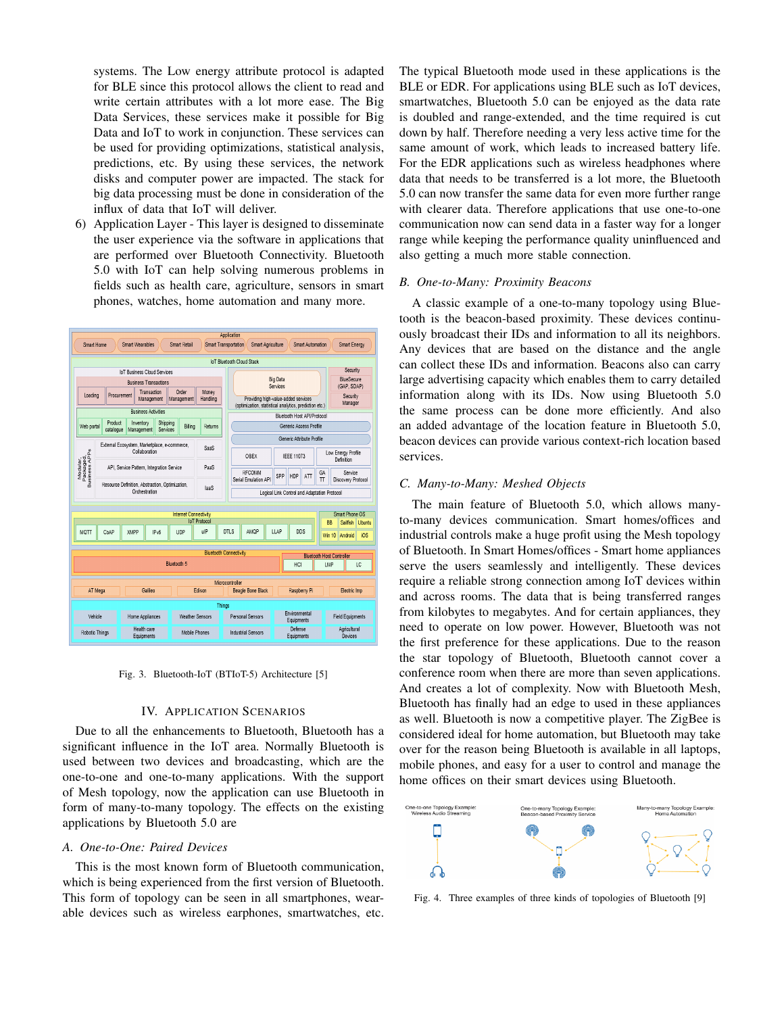systems. The Low energy attribute protocol is adapted for BLE since this protocol allows the client to read and write certain attributes with a lot more ease. The Big Data Services, these services make it possible for Big Data and IoT to work in conjunction. These services can be used for providing optimizations, statistical analysis, predictions, etc. By using these services, the network disks and computer power are impacted. The stack for big data processing must be done in consideration of the influx of data that IoT will deliver.

6) Application Layer - This layer is designed to disseminate the user experience via the software in applications that are performed over Bluetooth Connectivity. Bluetooth 5.0 with IoT can help solving numerous problems in fields such as health care, agriculture, sensors in smart phones, watches, home automation and many more.

|                                                                            | Application<br>Smart Wearables<br><b>Smart Retail</b><br><b>Smart Transportation</b><br><b>Smart Agriculture</b><br><b>Smart Energy</b><br>Smart Home<br>Smart Automation |                                                                  |                                        |  |                        |                   |                     |                                                                                                                      |                             |     |                             |               |                                               |                                        |  |  |
|----------------------------------------------------------------------------|---------------------------------------------------------------------------------------------------------------------------------------------------------------------------|------------------------------------------------------------------|----------------------------------------|--|------------------------|-------------------|---------------------|----------------------------------------------------------------------------------------------------------------------|-----------------------------|-----|-----------------------------|---------------|-----------------------------------------------|----------------------------------------|--|--|
|                                                                            | IoT Bluetonth Cloud Stack                                                                                                                                                 |                                                                  |                                        |  |                        |                   |                     |                                                                                                                      |                             |     |                             |               |                                               |                                        |  |  |
|                                                                            |                                                                                                                                                                           |                                                                  | InT Business Cloud Services            |  |                        |                   |                     |                                                                                                                      |                             |     |                             |               |                                               | Security                               |  |  |
| <b>Business Transactions</b>                                               |                                                                                                                                                                           |                                                                  |                                        |  |                        |                   |                     | <b>Big Data</b><br>Services                                                                                          |                             |     |                             |               |                                               | BlueSecure<br>(GAP, SDAP)              |  |  |
| Order<br>Transaction<br>Loading<br>Procurement<br>Management<br>Management |                                                                                                                                                                           |                                                                  |                                        |  |                        | Money<br>Handling |                     | Security<br>Providing high-value-added services<br>Manager<br>(optimization, statistical analytics, prediction etc.) |                             |     |                             |               |                                               |                                        |  |  |
|                                                                            | <b>Business Activities</b>                                                                                                                                                |                                                                  |                                        |  |                        |                   |                     |                                                                                                                      | Bluetooth Host API/Protocol |     |                             |               |                                               |                                        |  |  |
|                                                                            | Product<br>Shipping<br>Inventory<br>Web portal<br>Biling<br>catalogue<br>Services<br>Management                                                                           |                                                                  |                                        |  |                        | Returns           |                     | Generic Access Profile                                                                                               |                             |     |                             |               |                                               |                                        |  |  |
|                                                                            |                                                                                                                                                                           |                                                                  |                                        |  |                        |                   |                     | Generic Attribute Profile                                                                                            |                             |     |                             |               |                                               |                                        |  |  |
| Modular,<br>Packaged,<br>Business APPs                                     |                                                                                                                                                                           | External Ecosystem, Marketplace, e-commerce,<br>Collaboration    |                                        |  |                        |                   |                     | OBEX                                                                                                                 |                             |     | <b>IEEE 11073</b>           |               |                                               | Low Energy Profile<br>Definition       |  |  |
|                                                                            |                                                                                                                                                                           | API, Service Pattern, Integration Service                        |                                        |  |                        |                   |                     | RECOMM<br>Serial Emulation API                                                                                       |                             | SPP | HDP                         | ATT           | GA<br>π                                       | Service<br>Discovery Protocol          |  |  |
|                                                                            |                                                                                                                                                                           | Resource Definition, Abstraction, Optimization,<br>Orchestration |                                        |  |                        |                   |                     | Logical Link Control and Adaptation Protocol                                                                         |                             |     |                             |               |                                               |                                        |  |  |
|                                                                            | Smart Phone OS<br><b>Internet Connectivity</b>                                                                                                                            |                                                                  |                                        |  |                        |                   |                     |                                                                                                                      |                             |     |                             |               |                                               |                                        |  |  |
|                                                                            | <b>IoT Protocol</b>                                                                                                                                                       |                                                                  |                                        |  |                        |                   |                     |                                                                                                                      |                             |     |                             |               |                                               | BB<br><b>Ubuntu</b><br><b>Sailfish</b> |  |  |
| MOTT                                                                       |                                                                                                                                                                           | CoAP                                                             | XMPP<br>IP <sub>v6</sub><br><b>UDP</b> |  | uIP                    |                   | <b>DTLS</b><br>AMOP |                                                                                                                      | LLAP                        | DDS |                             | <b>Win 10</b> | Android                                       | iOS                                    |  |  |
|                                                                            | <b>Bluetooth Connectivity</b>                                                                                                                                             |                                                                  |                                        |  |                        |                   |                     |                                                                                                                      |                             |     |                             |               |                                               |                                        |  |  |
|                                                                            | Bluetooth 5                                                                                                                                                               |                                                                  |                                        |  |                        |                   |                     |                                                                                                                      |                             | HCI |                             |               | <b>Bluetooth Host Controller</b><br>LMP<br>LC |                                        |  |  |
|                                                                            |                                                                                                                                                                           |                                                                  |                                        |  |                        |                   |                     |                                                                                                                      |                             |     |                             |               |                                               |                                        |  |  |
|                                                                            | Galieo<br>AT Mega<br>Edison                                                                                                                                               |                                                                  |                                        |  |                        |                   |                     | Microcontroller<br>Raspberry Pi<br><b>Beagle Bone Black</b>                                                          |                             |     |                             |               | Electric Imp                                  |                                        |  |  |
|                                                                            | <b>Things</b>                                                                                                                                                             |                                                                  |                                        |  |                        |                   |                     |                                                                                                                      |                             |     |                             |               |                                               |                                        |  |  |
|                                                                            | Vehicle                                                                                                                                                                   | <b>Home Appliances</b>                                           |                                        |  | <b>Weather Sensors</b> |                   |                     |                                                                                                                      | Personal Sensors            |     | Environmental<br>Equipments |               | <b>Field Equipments</b>                       |                                        |  |  |
|                                                                            | Robotic Things                                                                                                                                                            | Health care<br>Equipments                                        |                                        |  | Mobile Phones          |                   |                     | <b>Industrial Sensors</b>                                                                                            |                             |     | Defense<br>Equipments       |               |                                               | Agricultural<br>Devices                |  |  |

Fig. 3. Bluetooth-IoT (BTIoT-5) Architecture [5]

#### IV. APPLICATION SCENARIOS

Due to all the enhancements to Bluetooth, Bluetooth has a significant influence in the IoT area. Normally Bluetooth is used between two devices and broadcasting, which are the one-to-one and one-to-many applications. With the support of Mesh topology, now the application can use Bluetooth in form of many-to-many topology. The effects on the existing applications by Bluetooth 5.0 are

### *A. One-to-One: Paired Devices*

This is the most known form of Bluetooth communication, which is being experienced from the first version of Bluetooth. This form of topology can be seen in all smartphones, wearable devices such as wireless earphones, smartwatches, etc. The typical Bluetooth mode used in these applications is the BLE or EDR. For applications using BLE such as IoT devices, smartwatches, Bluetooth 5.0 can be enjoyed as the data rate is doubled and range-extended, and the time required is cut down by half. Therefore needing a very less active time for the same amount of work, which leads to increased battery life. For the EDR applications such as wireless headphones where data that needs to be transferred is a lot more, the Bluetooth 5.0 can now transfer the same data for even more further range with clearer data. Therefore applications that use one-to-one communication now can send data in a faster way for a longer range while keeping the performance quality uninfluenced and also getting a much more stable connection.

## *B. One-to-Many: Proximity Beacons*

A classic example of a one-to-many topology using Bluetooth is the beacon-based proximity. These devices continuously broadcast their IDs and information to all its neighbors. Any devices that are based on the distance and the angle can collect these IDs and information. Beacons also can carry large advertising capacity which enables them to carry detailed information along with its IDs. Now using Bluetooth 5.0 the same process can be done more efficiently. And also an added advantage of the location feature in Bluetooth 5.0, beacon devices can provide various context-rich location based services.

#### *C. Many-to-Many: Meshed Objects*

The main feature of Bluetooth 5.0, which allows manyto-many devices communication. Smart homes/offices and industrial controls make a huge profit using the Mesh topology of Bluetooth. In Smart Homes/offices - Smart home appliances serve the users seamlessly and intelligently. These devices require a reliable strong connection among IoT devices within and across rooms. The data that is being transferred ranges from kilobytes to megabytes. And for certain appliances, they need to operate on low power. However, Bluetooth was not the first preference for these applications. Due to the reason the star topology of Bluetooth, Bluetooth cannot cover a conference room when there are more than seven applications. And creates a lot of complexity. Now with Bluetooth Mesh, Bluetooth has finally had an edge to used in these appliances as well. Bluetooth is now a competitive player. The ZigBee is considered ideal for home automation, but Bluetooth may take over for the reason being Bluetooth is available in all laptops, mobile phones, and easy for a user to control and manage the home offices on their smart devices using Bluetooth.



Fig. 4. Three examples of three kinds of topologies of Bluetooth [9]